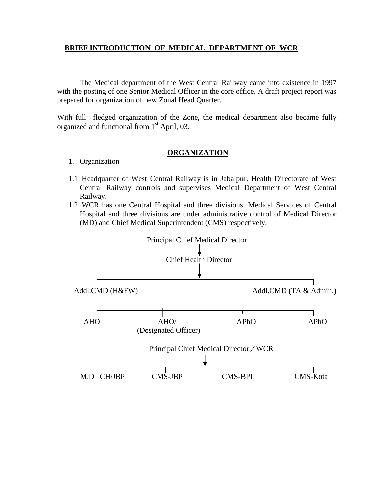## **BRIEF INTRODUCTION OF MEDICAL DEPARTMENT OF WCR**

The Medical department of the West Central Railway came into existence in 1997 with the posting of one Senior Medical Officer in the core office. A draft project report was prepared for organization of new Zonal Head Quarter.

With full –fledged organization of the Zone, the medical department also became fully organized and functional from  $1<sup>st</sup>$  April, 03.

## **ORGANIZATION**

# 1. Organization

- 1.1 Headquarter of West Central Railway is in Jabalpur. Health Directorate of West Central Railway controls and supervises Medical Department of West Central Railway.
- 1.2 WCR has one Central Hospital and three divisions. Medical Services of Central Hospital and three divisions are under administrative control of Medical Director (MD) and Chief Medical Superintendent (CMS) respectively.

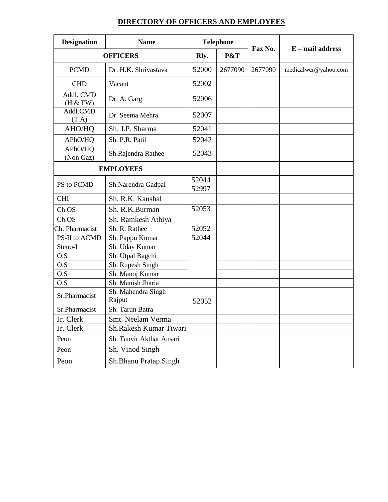# **DIRECTORY OF OFFICERS AND EMPLOYEES**

| <b>Designation</b>               | <b>Name</b>                  | <b>Telephone</b> |         |         |                      |  |
|----------------------------------|------------------------------|------------------|---------|---------|----------------------|--|
| <b>OFFICERS</b>                  |                              | Rly.             | P&T     | Fax No. | $E$ – mail address   |  |
| <b>PCMD</b>                      | Dr. H.K. Shrivastava         | 52000            | 2677090 | 2677090 | medicalwcr@yahoo.com |  |
| <b>CHD</b>                       | Vacant                       | 52002            |         |         |                      |  |
| Addl. CMD<br>(H & FW)            | Dr. A. Garg                  | 52006            |         |         |                      |  |
| Addl.CMD<br>(T.A)                | Dr. Seema Mehra              | 52007            |         |         |                      |  |
| AHO/HQ                           | Sh. J.P. Sharma              | 52041            |         |         |                      |  |
| APhO/HQ                          | Sh. P.R. Patil               | 52042            |         |         |                      |  |
| APhO/HQ<br>(Non Gaz)             | Sh.Rajendra Rathee           | 52043            |         |         |                      |  |
|                                  | <b>EMPLOYEES</b>             |                  |         |         |                      |  |
| PS to PCMD                       | Sh.Narendra Gadpal           | 52044<br>52997   |         |         |                      |  |
| <b>CHI</b>                       | Sh. R.K. Kaushal             |                  |         |         |                      |  |
| Ch.OS                            | Sh. R.K.Burman               | 52053            |         |         |                      |  |
| Ch.OS                            | Sh. Ramkesh Athiya           |                  |         |         |                      |  |
| Ch. Pharmacist                   | Sh. R. Rathee                | 52052            |         |         |                      |  |
| PS-II to ACMD                    | Sh. Pappu Kumar              | 52044            |         |         |                      |  |
| Steno-I                          | Sh. Uday Kumar               |                  |         |         |                      |  |
| O.S                              | Sh. Utpal Bagchi             |                  |         |         |                      |  |
| O.S                              | Sh. Rupesh Singh             |                  |         |         |                      |  |
| O.S                              | Sh. Manoj Kumar              |                  |         |         |                      |  |
| O.S                              | Sh. Manish Jharia            |                  |         |         |                      |  |
| Sr.Pharmacist                    | Sh. Mahendra Singh<br>Rajput | 52052            |         |         |                      |  |
| Sh. Tarun Batra<br>Sr.Pharmacist |                              |                  |         |         |                      |  |
| Jr. Clerk                        | Smt. Neelam Verma            |                  |         |         |                      |  |
| Jr. Clerk                        | Sh.Rakesh Kumar Tiwari       |                  |         |         |                      |  |
| Peon                             | Sh. Tanvir Akthar Ansari     |                  |         |         |                      |  |
| Peon                             | Sh. Vinod Singh              |                  |         |         |                      |  |
| Peon                             | Sh.Bhanu Pratap Singh        |                  |         |         |                      |  |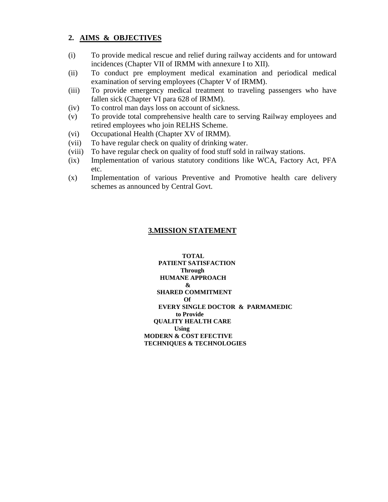## **2. AIMS & OBJECTIVES**

- (i) To provide medical rescue and relief during railway accidents and for untoward incidences (Chapter VII of IRMM with annexure I to XII).
- (ii) To conduct pre employment medical examination and periodical medical examination of serving employees (Chapter V of IRMM).
- (iii) To provide emergency medical treatment to traveling passengers who have fallen sick (Chapter VI para 628 of IRMM).
- (iv) To control man days loss on account of sickness.
- (v) To provide total comprehensive health care to serving Railway employees and retired employees who join RELHS Scheme.
- (vi) Occupational Health (Chapter XV of IRMM).
- (vii) To have regular check on quality of drinking water.
- (viii) To have regular check on quality of food stuff sold in railway stations.
- (ix) Implementation of various statutory conditions like WCA, Factory Act, PFA etc.
- (x) Implementation of various Preventive and Promotive health care delivery schemes as announced by Central Govt.

# **3.MISSION STATEMENT**

 **TOTAL PATIENT SATISFACTION Through HUMANE APPROACH & SHARED COMMITMENT Of EVERY SINGLE DOCTOR & PARMAMEDIC to Provide QUALITY HEALTH CARE Using MODERN & COST EFECTIVE TECHNIQUES & TECHNOLOGIES**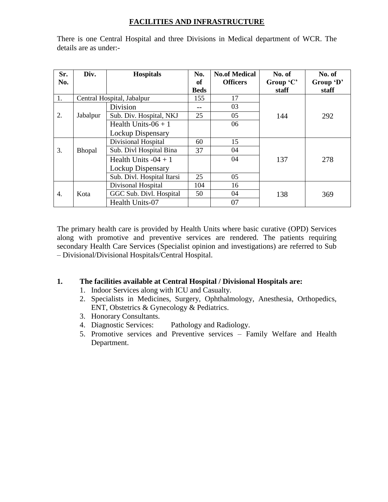# **FACILITIES AND INFRASTRUCTURE**

| Sr. | Div.          | <b>Hospitals</b>           | No.         | <b>No.of Medical</b> | No. of    | No. of    |
|-----|---------------|----------------------------|-------------|----------------------|-----------|-----------|
| No. |               |                            | of          | <b>Officers</b>      | Group 'C' | Group 'D' |
|     |               |                            | <b>Beds</b> |                      | staff     | staff     |
| 1.  |               | Central Hospital, Jabalpur | 155         | 17                   |           |           |
|     |               | <b>Division</b>            |             | 03                   |           |           |
| 2.  | Jabalpur      | Sub. Div. Hospital, NKJ    | 25          | 05                   | 144       | 292       |
|     |               | Health Units- $06 + 1$     |             | 06                   |           |           |
|     |               | Lockup Dispensary          |             |                      |           |           |
|     |               | Divisional Hospital        | 60          | 15                   |           |           |
| 3.  | <b>Bhopal</b> | Sub. Divl Hospital Bina    | 37          | 04                   |           |           |
|     |               | Health Units $-04 + 1$     |             | 04                   | 137       | 278       |
|     |               | Lockup Dispensary          |             |                      |           |           |
|     |               | Sub. Divl. Hospital Itarsi | 25          | 05                   |           |           |
|     |               | Divisonal Hospital         | 104         | 16                   |           |           |
| 4.  | Kota          | GGC Sub. Divl. Hospital    | 50          | 04                   | 138       | 369       |
|     |               | Health Units-07            |             | 07                   |           |           |

There is one Central Hospital and three Divisions in Medical department of WCR. The details are as under:-

The primary health care is provided by Health Units where basic curative (OPD) Services along with promotive and preventive services are rendered. The patients requiring secondary Health Care Services (Specialist opinion and investigations) are referred to Sub – Divisional/Divisional Hospitals/Central Hospital.

# **1. The facilities available at Central Hospital / Divisional Hospitals are:**

1. Indoor Services along with ICU and Casualty.

- 2. Specialists in Medicines, Surgery, Ophthalmology, Anesthesia, Orthopedics, ENT, Obstetrics & Gynecology & Pediatrics.
- 3. Honorary Consultants.
- 4. Diagnostic Services: Pathology and Radiology.
- 5. Promotive services and Preventive services Family Welfare and Health Department.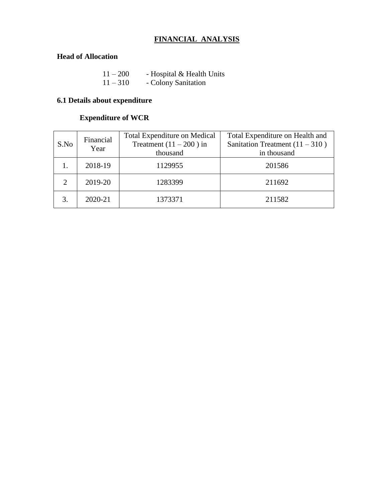# **FINANCIAL ANALYSIS**

# **Head of Allocation**

| $11 - 200$ | - Hospital & Health Units |
|------------|---------------------------|
| $11 - 310$ | - Colony Sanitation       |

# **6.1 Details about expenditure**

# **Expenditure of WCR**

| S.No | Financial<br>Year | <b>Total Expenditure on Medical</b><br>Treatment $(11 – 200)$ in<br>thousand | Total Expenditure on Health and<br>Sanitation Treatment $(11 - 310)$<br>in thousand |
|------|-------------------|------------------------------------------------------------------------------|-------------------------------------------------------------------------------------|
|      | 2018-19           | 1129955                                                                      | 201586                                                                              |
|      | 2019-20           | 1283399                                                                      | 211692                                                                              |
|      | 2020-21           | 1373371                                                                      | 211582                                                                              |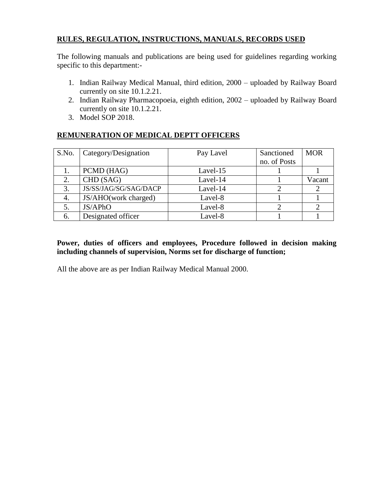# **RULES, REGULATION, INSTRUCTIONS, MANUALS, RECORDS USED**

The following manuals and publications are being used for guidelines regarding working specific to this department:-

- 1. Indian Railway Medical Manual, third edition, 2000 uploaded by Railway Board currently on site 10.1.2.21.
- 2. Indian Railway Pharmacopoeia, eighth edition, 2002 uploaded by Railway Board currently on site 10.1.2.21.
- 3. Model SOP 2018.

# **REMUNERATION OF MEDICAL DEPTT OFFICERS**

| S.No. | Category/Designation  | Pay Lavel | Sanctioned   | <b>MOR</b> |
|-------|-----------------------|-----------|--------------|------------|
|       |                       |           | no. of Posts |            |
|       | PCMD (HAG)            | Lavel-15  |              |            |
| 2.    | CHD (SAG)             | Lavel-14  |              | Vacant     |
| 3.    | JS/SS/JAG/SG/SAG/DACP | Lavel-14  |              |            |
| 4.    | JS/AHO(work charged)  | Lavel-8   |              |            |
| 5.    | JS/APhO               | Lavel-8   |              |            |
| 6.    | Designated officer    | Lavel-8   |              |            |

# **Power, duties of officers and employees, Procedure followed in decision making including channels of supervision, Norms set for discharge of function;**

All the above are as per Indian Railway Medical Manual 2000.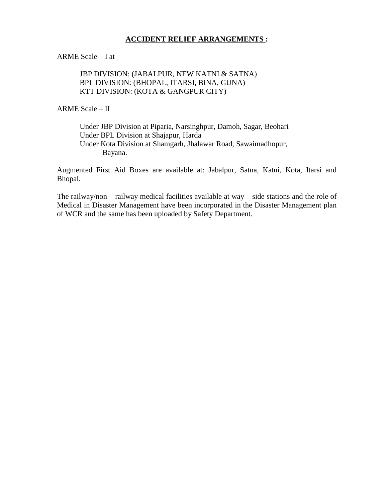## **ACCIDENT RELIEF ARRANGEMENTS :**

ARME Scale – I at

JBP DIVISION: (JABALPUR, NEW KATNI & SATNA) BPL DIVISION: (BHOPAL, ITARSI, BINA, GUNA) KTT DIVISION: (KOTA & GANGPUR CITY)

ARME Scale – II

Under JBP Division at Piparia, Narsinghpur, Damoh, Sagar, Beohari Under BPL Division at Shajapur, Harda Under Kota Division at Shamgarh, Jhalawar Road, Sawaimadhopur,

Bayana.

Augmented First Aid Boxes are available at: Jabalpur, Satna, Katni, Kota, Itarsi and Bhopal.

The railway/non – railway medical facilities available at way – side stations and the role of Medical in Disaster Management have been incorporated in the Disaster Management plan of WCR and the same has been uploaded by Safety Department.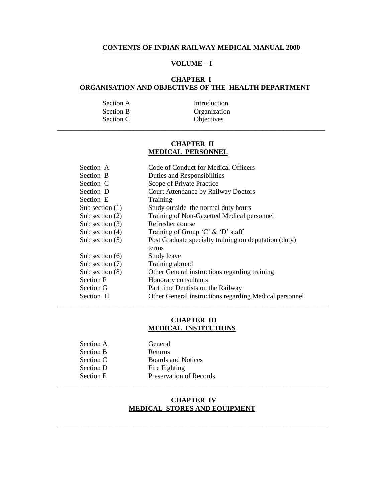#### **CONTENTS OF INDIAN RAILWAY MEDICAL MANUAL 2000**

## **VOLUME – I**

#### **CHAPTER I ORGANISATION AND OBJECTIVES OF THE HEALTH DEPARTMENT**

| Section A        | Introduction |
|------------------|--------------|
| <b>Section B</b> | Organization |
| Section C        | Objectives   |

#### **CHAPTER II MEDICAL PERSONNEL**

\_\_\_\_\_\_\_\_\_\_\_\_\_\_\_\_\_\_\_\_\_\_\_\_\_\_\_\_\_\_\_\_\_\_\_\_\_\_\_\_\_\_\_\_\_\_\_\_\_\_\_\_\_\_\_\_\_\_\_\_\_\_\_\_\_\_\_\_\_\_\_\_\_\_\_\_\_

| Section A         | Code of Conduct for Medical Officers                   |
|-------------------|--------------------------------------------------------|
| Section B         | Duties and Responsibilities                            |
| Section C         | Scope of Private Practice                              |
| Section D         | Court Attendance by Railway Doctors                    |
| Section E         | Training                                               |
| Sub section $(1)$ | Study outside the normal duty hours                    |
| Sub section $(2)$ | Training of Non-Gazetted Medical personnel             |
| Sub section $(3)$ | Refresher course                                       |
| Sub section $(4)$ | Training of Group 'C' $\&$ 'D' staff                   |
| Sub section $(5)$ | Post Graduate specialty training on deputation (duty)  |
|                   | terms                                                  |
| Sub section $(6)$ | Study leave                                            |
| Sub section $(7)$ | Training abroad                                        |
| Sub section $(8)$ | Other General instructions regarding training          |
| <b>Section F</b>  | Honorary consultants                                   |
| Section G         | Part time Dentists on the Railway                      |
| Section H         | Other General instructions regarding Medical personnel |
|                   |                                                        |

#### **CHAPTER III MEDICAL INSTITUTIONS**

| Section A        | General                   |  |
|------------------|---------------------------|--|
| <b>Section B</b> | <b>Returns</b>            |  |
| Section C        | <b>Boards and Notices</b> |  |
| Section D        | Fire Fighting             |  |
| Section E        | Preservation of Records   |  |
|                  |                           |  |

#### **CHAPTER IV MEDICAL STORES AND EQUIPMENT**

\_\_\_\_\_\_\_\_\_\_\_\_\_\_\_\_\_\_\_\_\_\_\_\_\_\_\_\_\_\_\_\_\_\_\_\_\_\_\_\_\_\_\_\_\_\_\_\_\_\_\_\_\_\_\_\_\_\_\_\_\_\_\_\_\_\_\_\_\_\_\_\_\_\_\_\_\_\_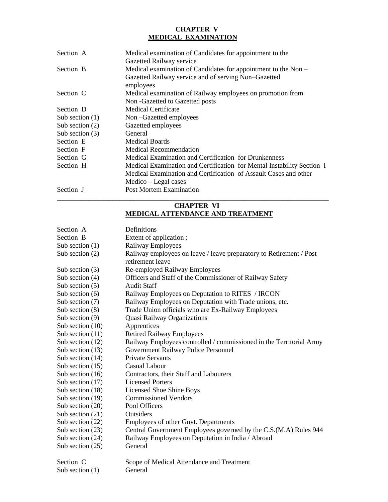## **CHAPTER V MEDICAL EXAMINATION**

| Section A         | Medical examination of Candidates for appointment to the                                                                                                        |
|-------------------|-----------------------------------------------------------------------------------------------------------------------------------------------------------------|
| Section B         | Gazetted Railway service<br>Medical examination of Candidates for appointment to the Non –<br>Gazetted Railway service and of serving Non-Gazetted<br>employees |
| Section C         | Medical examination of Railway employees on promotion from<br>Non-Gazetted to Gazetted posts                                                                    |
| Section D         | Medical Certificate                                                                                                                                             |
| Sub section $(1)$ | Non-Gazetted employees                                                                                                                                          |
| Sub section $(2)$ | Gazetted employees                                                                                                                                              |
| Sub section $(3)$ | General                                                                                                                                                         |
| Section E         | <b>Medical Boards</b>                                                                                                                                           |
| Section F         | Medical Recommendation                                                                                                                                          |
| Section G         | Medical Examination and Certification for Drunkenness                                                                                                           |
| Section H         | Medical Examination and Certification for Mental Instability Section I                                                                                          |
|                   | Medical Examination and Certification of Assault Cases and other                                                                                                |
|                   | Medico – Legal cases                                                                                                                                            |
| Section J         | <b>Post Mortem Examination</b>                                                                                                                                  |

## **CHAPTER VI MEDICAL ATTENDANCE AND TREATMENT**

| Section A          | Definitions                                                         |
|--------------------|---------------------------------------------------------------------|
| Section B          | Extent of application :                                             |
| Sub section $(1)$  | Railway Employees                                                   |
| Sub section $(2)$  | Railway employees on leave / leave preparatory to Retirement / Post |
|                    | retirement leave                                                    |
| Sub section $(3)$  | Re-employed Railway Employees                                       |
| Sub section $(4)$  | Officers and Staff of the Commissioner of Railway Safety            |
| Sub section $(5)$  | <b>Audit Staff</b>                                                  |
| Sub section $(6)$  | Railway Employees on Deputation to RITES / IRCON                    |
| Sub section (7)    | Railway Employees on Deputation with Trade unions, etc.             |
| Sub section $(8)$  | Trade Union officials who are Ex-Railway Employees                  |
| Sub section $(9)$  | Quasi Railway Organizations                                         |
| Sub section $(10)$ | Apprentices                                                         |
| Sub section $(11)$ | <b>Retired Railway Employees</b>                                    |
| Sub section $(12)$ | Railway Employees controlled / commissioned in the Territorial Army |
| Sub section (13)   | Government Railway Police Personnel                                 |
| Sub section $(14)$ | <b>Private Servants</b>                                             |
| Sub section $(15)$ | <b>Casual Labour</b>                                                |
| Sub section $(16)$ | Contractors, their Staff and Labourers                              |
| Sub section (17)   | <b>Licensed Porters</b>                                             |
| Sub section (18)   | Licensed Shoe Shine Boys                                            |
| Sub section (19)   | <b>Commissioned Vendors</b>                                         |
| Sub section (20)   | Pool Officers                                                       |
| Sub section $(21)$ | Outsiders                                                           |
| Sub section (22)   | Employees of other Govt. Departments                                |
| Sub section (23)   | Central Government Employees governed by the C.S.(M.A) Rules 944    |
| Sub section (24)   | Railway Employees on Deputation in India / Abroad                   |
| Sub section $(25)$ | General                                                             |
| Section C          | Scope of Medical Attendance and Treatment                           |
| Sub section $(1)$  | General                                                             |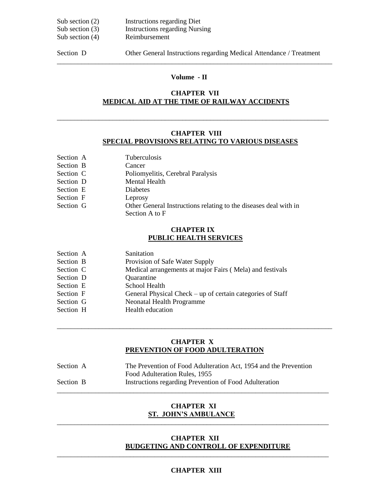| Sub section $(2)$ | <b>Instructions regarding Diet</b>    |
|-------------------|---------------------------------------|
| Sub section $(3)$ | <b>Instructions regarding Nursing</b> |
| Sub section $(4)$ | Reimbursement                         |
|                   |                                       |

Section D Other General Instructions regarding Medical Attendance / Treatment

## **Volume - II**

\_\_\_\_\_\_\_\_\_\_\_\_\_\_\_\_\_\_\_\_\_\_\_\_\_\_\_\_\_\_\_\_\_\_\_\_\_\_\_\_\_\_\_\_\_\_\_\_\_\_\_\_\_\_\_\_\_\_\_\_\_\_\_\_\_\_\_\_\_\_\_\_\_\_\_\_\_\_\_

## **CHAPTER VII MEDICAL AID AT THE TIME OF RAILWAY ACCIDENTS**

\_\_\_\_\_\_\_\_\_\_\_\_\_\_\_\_\_\_\_\_\_\_\_\_\_\_\_\_\_\_\_\_\_\_\_\_\_\_\_\_\_\_\_\_\_\_\_\_\_\_\_\_\_\_\_\_\_\_\_\_\_\_\_\_\_\_\_\_\_\_\_\_\_\_\_\_\_\_

#### **CHAPTER VIII SPECIAL PROVISIONS RELATING TO VARIOUS DISEASES**

| Section A | <b>Tuberculosis</b>                                              |
|-----------|------------------------------------------------------------------|
| Section B | Cancer                                                           |
| Section C | Poliomyelitis, Cerebral Paralysis                                |
| Section D | Mental Health                                                    |
| Section E | <b>Diabetes</b>                                                  |
| Section F | Leprosy                                                          |
| Section G | Other General Instructions relating to the diseases deal with in |
|           | Section A to F                                                   |

#### **CHAPTER IX PUBLIC HEALTH SERVICES**

| Section A | Sanitation                                                 |
|-----------|------------------------------------------------------------|
| Section B | Provision of Safe Water Supply                             |
| Section C | Medical arrangements at major Fairs (Mela) and festivals   |
| Section D | Quarantine                                                 |
| Section E | School Health                                              |
| Section F | General Physical Check – up of certain categories of Staff |
| Section G | <b>Neonatal Health Programme</b>                           |
| Section H | Health education                                           |

#### **CHAPTER X PREVENTION OF FOOD ADULTERATION**

\_\_\_\_\_\_\_\_\_\_\_\_\_\_\_\_\_\_\_\_\_\_\_\_\_\_\_\_\_\_\_\_\_\_\_\_\_\_\_\_\_\_\_\_\_\_\_\_\_\_\_\_\_\_\_\_\_\_\_\_\_\_\_\_\_\_\_\_\_\_\_\_\_\_\_\_\_\_\_

| Section A | The Prevention of Food Adulteration Act, 1954 and the Prevention |
|-----------|------------------------------------------------------------------|
|           | Food Adulteration Rules, 1955                                    |
| Section B | Instructions regarding Prevention of Food Adulteration           |

#### **CHAPTER XI ST. JOHN'S AMBULANCE** \_\_\_\_\_\_\_\_\_\_\_\_\_\_\_\_\_\_\_\_\_\_\_\_\_\_\_\_\_\_\_\_\_\_\_\_\_\_\_\_\_\_\_\_\_\_\_\_\_\_\_\_\_\_\_\_\_\_\_\_\_\_\_\_\_\_\_\_\_\_\_\_\_\_\_\_\_\_

#### **CHAPTER XII BUDGETING AND CONTROLL OF EXPENDITURE**

#### **CHAPTER XIII**

\_\_\_\_\_\_\_\_\_\_\_\_\_\_\_\_\_\_\_\_\_\_\_\_\_\_\_\_\_\_\_\_\_\_\_\_\_\_\_\_\_\_\_\_\_\_\_\_\_\_\_\_\_\_\_\_\_\_\_\_\_\_\_\_\_\_\_\_\_\_\_\_\_\_\_\_\_\_